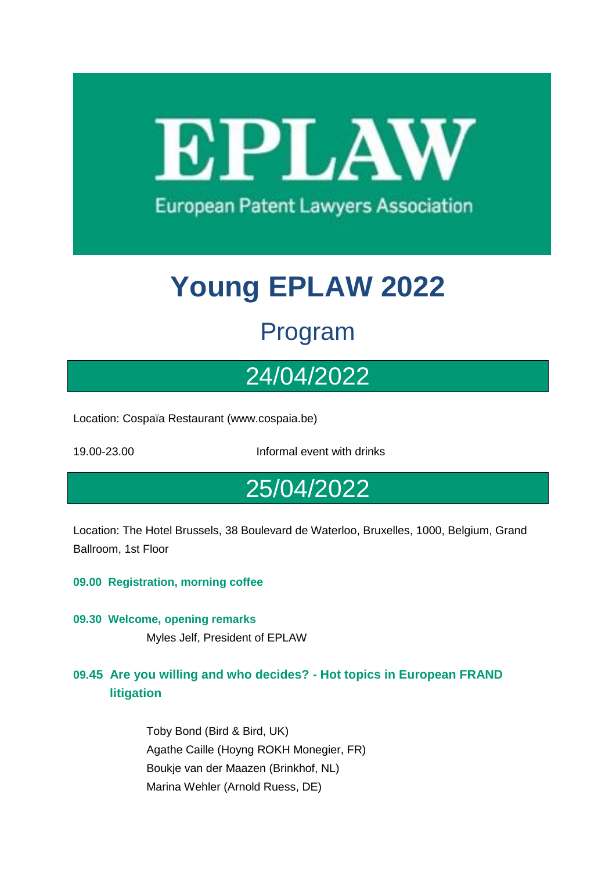EPLAW **European Patent Lawyers Association** 

# **Young EPLAW 2022**

## Program

# 24/04/2022

Location: Cospaïa Restaurant (www.cospaia.be)

19.00-23.00 Informal event with drinks

### 25/04/2022

Location: The Hotel Brussels, 38 Boulevard de Waterloo, Bruxelles, 1000, Belgium, Grand Ballroom, 1st Floor

**09.00 Registration, morning coffee**

- **09.30 Welcome, opening remarks** Myles Jelf, President of EPLAW
- **09.45 Are you willing and who decides? - Hot topics in European FRAND litigation**

Toby Bond (Bird & Bird, UK) Agathe Caille (Hoyng ROKH Monegier, FR) Boukje van der Maazen (Brinkhof, NL) Marina Wehler (Arnold Ruess, DE)